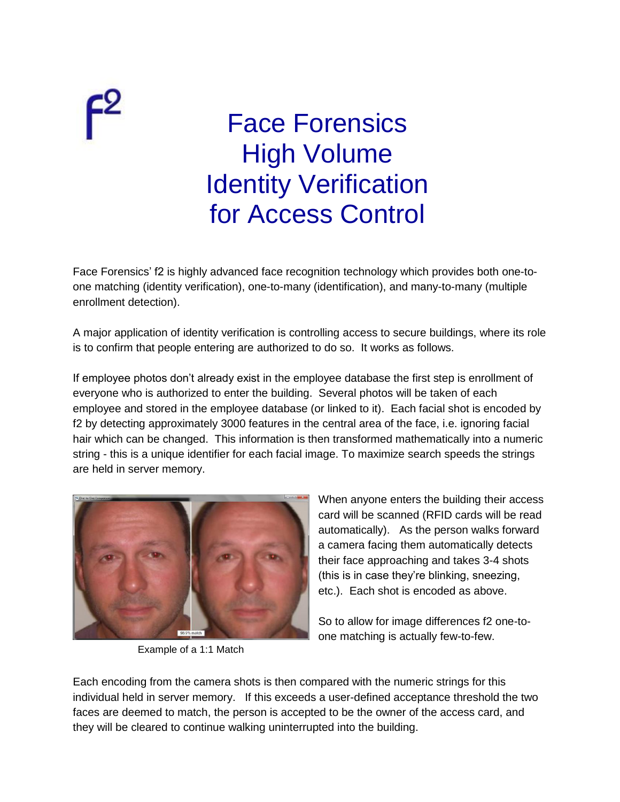## Face Forensics High Volume Identity Verification for Access Control

Face Forensics' f2 is highly advanced face recognition technology which provides both one-toone matching (identity verification), one-to-many (identification), and many-to-many (multiple enrollment detection).

A major application of identity verification is controlling access to secure buildings, where its role is to confirm that people entering are authorized to do so. It works as follows.

If employee photos don't already exist in the employee database the first step is enrollment of everyone who is authorized to enter the building. Several photos will be taken of each employee and stored in the employee database (or linked to it). Each facial shot is encoded by f2 by detecting approximately 3000 features in the central area of the face, i.e. ignoring facial hair which can be changed. This information is then transformed mathematically into a numeric string - this is a unique identifier for each facial image. To maximize search speeds the strings are held in server memory.



 $\mathsf{F}^2$ 

Example of a 1:1 Match

When anyone enters the building their access card will be scanned (RFID cards will be read automatically). As the person walks forward a camera facing them automatically detects their face approaching and takes 3-4 shots (this is in case they're blinking, sneezing, etc.). Each shot is encoded as above.

So to allow for image differences f2 one-toone matching is actually few-to-few.

Each encoding from the camera shots is then compared with the numeric strings for this individual held in server memory. If this exceeds a user-defined acceptance threshold the two faces are deemed to match, the person is accepted to be the owner of the access card, and they will be cleared to continue walking uninterrupted into the building.